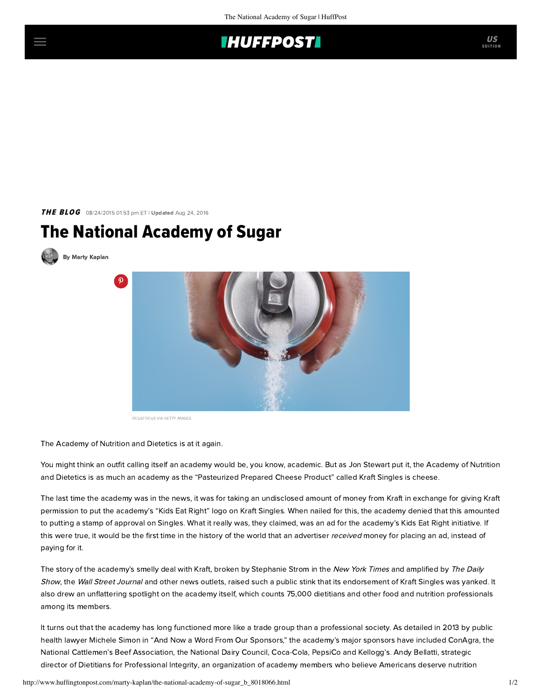## **IHUFFPOSTI**

**THE BLOG** 08/24/2015 01:53 pm ET | Updated Aug 24, 2016

P

## The National Academy of Sugar

[By Marty Kaplan](http://www.huffingtonpost.com/author/marty-kaplan)



OCUSFOCUS VIA GETTY IMAGES

The Academy of Nutrition and Dietetics is at it again.

You might think an outfit calling itself an academy would be, you know, academic. But [as Jon Stewart](http://thedailyshow.cc.com/videos/fsdtvk/the-snacks-of-life) put it, the Academy of Nutrition and Dietetics is as much an academy as the "Pasteurized Prepared Cheese Product" called Kraft Singles is cheese.

The last time the academy was in the news, it was for taking an undisclosed amount of money from Kraft in exchange for giving Kraft permission to put the academy's "Kids Eat Right" logo on Kraft Singles. When nailed for this, the academy denied that this amounted to putting a stamp of approval on Singles. What it really was, they claimed, was an ad for the academy's Kids Eat Right initiative. If this were true, it would be the first time in the history of the world that an advertiser received money for placing an ad, instead of paying for it.

The story of the academy's smelly deal with Kraft, [broken](http://well.blogs.nytimes.com/2015/03/12/a-cheese-product-wins-kids-nutrition-seal/?_r=3) by Stephanie Strom in the New York Times and amplified by The Daily Show, the [Wall Street Journal](http://www.wsj.com/articles/eat-right-meltdown-for-kraft-singles-1427152818) and [other](http://abcnews.go.com/Health/kraft-singles-1st-food-allowed-display-kids-eat/story?id=29616537) news outlets, raised such a public stink that its endorsement of Kraft Singles [was yanked](http://www.wsj.com/articles/program-to-put-kids-eat-right-logo-on-kraft-singles-ending-1427806089). It also drew an unflattering spotlight on the academy itself, which counts 75,000 dietitians and other food and nutrition professionals among its members.

It turns out that the academy has long functioned more like a trade group than a professional society. As detailed in 2013 by public health lawyer Michele Simon in ["And Now a Word From Our Sponsors](http://graphics8.nytimes.com/packages/pdf/business/AND_Corporate_Sponsorship_Report.pdf)," the academy's [major sponsors](http://www.nytimes.com/2013/01/23/business/report-questions-nutrition-groups-use-of-corporate-sponsors.html) have included ConAgra, the National Cattlemen's Beef Association, the National Dairy Council, Coca-Cola, PepsiCo and Kellogg's. Andy Bellatti, strategic director of [Dietitians for Professional Integrity,](http://integritydietitians.org/) an organization of academy members who believe Americans deserve nutrition